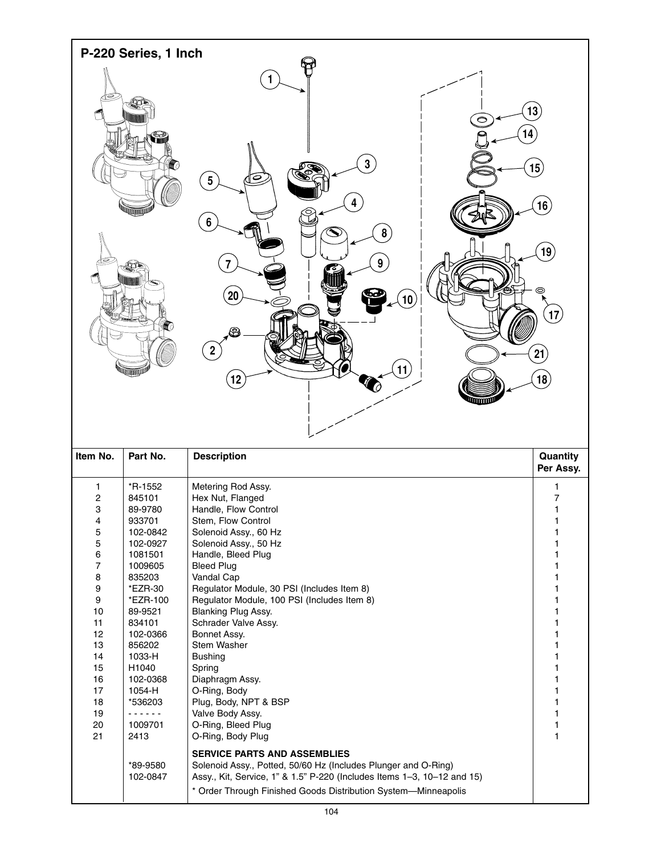

| Item No. | Part No.             | <b>Description</b>                                                                                                                                                                                                                                 | Quantity<br>Per Assy. |
|----------|----------------------|----------------------------------------------------------------------------------------------------------------------------------------------------------------------------------------------------------------------------------------------------|-----------------------|
| 1        | *R-1552              | Metering Rod Assy.                                                                                                                                                                                                                                 |                       |
| 2        | 845101               | Hex Nut, Flanged                                                                                                                                                                                                                                   | 7                     |
| 3        | 89-9780              | Handle, Flow Control                                                                                                                                                                                                                               |                       |
| 4        | 933701               | Stem, Flow Control                                                                                                                                                                                                                                 |                       |
| 5        | 102-0842             | Solenoid Assy., 60 Hz                                                                                                                                                                                                                              |                       |
| 5        | 102-0927             | Solenoid Assy., 50 Hz                                                                                                                                                                                                                              |                       |
| 6        | 1081501              | Handle, Bleed Plug                                                                                                                                                                                                                                 |                       |
| 7        | 1009605              | <b>Bleed Plug</b>                                                                                                                                                                                                                                  |                       |
| 8        | 835203               | Vandal Cap                                                                                                                                                                                                                                         |                       |
| 9        | $EZR-30$             | Regulator Module, 30 PSI (Includes Item 8)                                                                                                                                                                                                         |                       |
| 9        | *EZR-100             | Regulator Module, 100 PSI (Includes Item 8)                                                                                                                                                                                                        |                       |
| 10       | 89-9521              | Blanking Plug Assy.                                                                                                                                                                                                                                |                       |
| 11       | 834101               | Schrader Valve Assy.                                                                                                                                                                                                                               |                       |
| 12       | 102-0366             | Bonnet Assy.                                                                                                                                                                                                                                       |                       |
| 13       | 856202               | Stem Washer                                                                                                                                                                                                                                        |                       |
| 14       | 1033-H               | <b>Bushing</b>                                                                                                                                                                                                                                     |                       |
| 15       | H1040                | Spring                                                                                                                                                                                                                                             |                       |
| 16       | 102-0368             | Diaphragm Assy.                                                                                                                                                                                                                                    |                       |
| 17       | 1054-H               | O-Ring, Body                                                                                                                                                                                                                                       |                       |
| 18       | *536203              | Plug, Body, NPT & BSP                                                                                                                                                                                                                              |                       |
| 19       | <u>.</u>             | Valve Body Assy.                                                                                                                                                                                                                                   |                       |
| 20       | 1009701              | O-Ring, Bleed Plug                                                                                                                                                                                                                                 | 1                     |
| 21       | 2413                 | O-Ring, Body Plug                                                                                                                                                                                                                                  |                       |
|          | *89-9580<br>102-0847 | <b>SERVICE PARTS AND ASSEMBLIES</b><br>Solenoid Assy., Potted, 50/60 Hz (Includes Plunger and O-Ring)<br>Assy., Kit, Service, 1" & 1.5" P-220 (Includes Items 1-3, 10-12 and 15)<br>* Order Through Finished Goods Distribution System-Minneapolis |                       |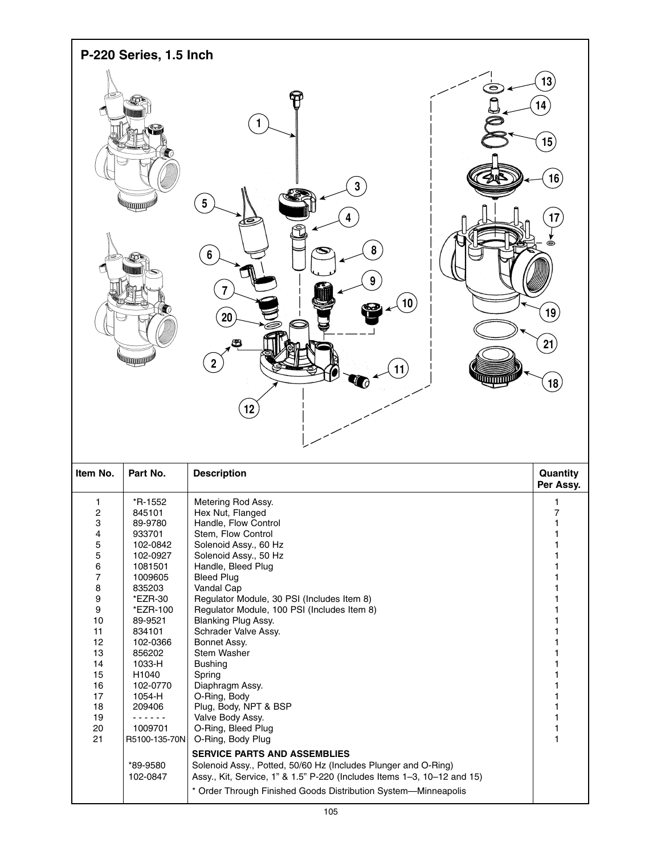

| Item No.       | Part No.      | <b>Description</b>                                                      | Quantity<br>Per Assy. |
|----------------|---------------|-------------------------------------------------------------------------|-----------------------|
| 1              | *R-1552       | Metering Rod Assy.                                                      | 1                     |
| 2              | 845101        | Hex Nut, Flanged                                                        | 7                     |
| 3              | 89-9780       | Handle, Flow Control                                                    |                       |
| 4              | 933701        | Stem. Flow Control                                                      |                       |
| 5              | 102-0842      | Solenoid Assy., 60 Hz                                                   |                       |
| 5              | 102-0927      | Solenoid Assy., 50 Hz                                                   |                       |
| 6              | 1081501       | Handle, Bleed Plug                                                      |                       |
| $\overline{7}$ | 1009605       | <b>Bleed Plug</b>                                                       |                       |
| 8              | 835203        | Vandal Cap                                                              |                       |
| 9              | *EZR-30       | Regulator Module, 30 PSI (Includes Item 8)                              |                       |
| 9              | *EZR-100      | Regulator Module, 100 PSI (Includes Item 8)                             |                       |
| 10             | 89-9521       | Blanking Plug Assy.                                                     |                       |
| 11             | 834101        | Schrader Valve Assy.                                                    |                       |
| 12             | 102-0366      | Bonnet Assy.                                                            |                       |
| 13             | 856202        | Stem Washer                                                             |                       |
| 14             | 1033-H        | <b>Bushing</b>                                                          |                       |
| 15             | H1040         | Spring                                                                  |                       |
| 16             | 102-0770      | Diaphragm Assy.                                                         |                       |
| 17             | 1054-H        | O-Ring, Body                                                            |                       |
| 18             | 209406        | Plug, Body, NPT & BSP                                                   |                       |
| 19             |               | Valve Body Assy.                                                        |                       |
| 20             | 1009701       | O-Ring, Bleed Plug                                                      |                       |
| 21             | R5100-135-70N | O-Ring, Body Plug                                                       |                       |
|                |               | <b>SERVICE PARTS AND ASSEMBLIES</b>                                     |                       |
|                | *89-9580      | Solenoid Assy., Potted, 50/60 Hz (Includes Plunger and O-Ring)          |                       |
|                | 102-0847      | Assy., Kit, Service, 1" & 1.5" P-220 (Includes Items 1-3, 10-12 and 15) |                       |
|                |               | * Order Through Finished Goods Distribution System—Minneapolis          |                       |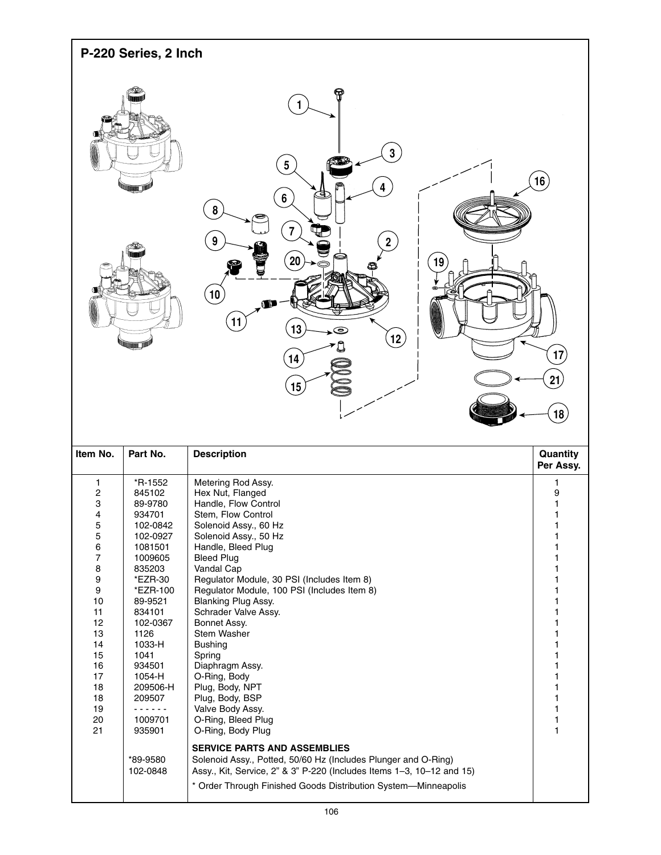| P-220 Series, 2 Inch |                                                                                                                                                                                                                                                                                                   |  |  |  |
|----------------------|---------------------------------------------------------------------------------------------------------------------------------------------------------------------------------------------------------------------------------------------------------------------------------------------------|--|--|--|
|                      | କ<br>$\overline{\mathbf{1}}$<br>3<br>$\overline{\mathbf{5}}$<br>(16)<br>4<br>⋐<br>$6\phantom{a}$                                                                                                                                                                                                  |  |  |  |
| 6T.<br>m             | $\pmb{8}$<br>e<br>$\overline{7}$<br>¢<br>9<br>$\overline{2}$<br>$\left( 20\right)$<br>⋐<br>19)<br>S<br>c<br>$\left($ 10 $\right)$<br>☜<br>$\blacksquare$<br>(11)<br>13<br>$\circledcirc$<br>$\left( 12\right)$<br>↞<br>$\overrightarrow{17}$<br>$\overline{14}$<br>21)<br>(15)<br>$\overline{18}$ |  |  |  |

| Item No. | Part No.             | <b>Description</b>                                                                                                                                                                                                                               | Quantity<br>Per Assy. |
|----------|----------------------|--------------------------------------------------------------------------------------------------------------------------------------------------------------------------------------------------------------------------------------------------|-----------------------|
| 1        | *R-1552              | Metering Rod Assy.                                                                                                                                                                                                                               |                       |
| 2        | 845102               | Hex Nut, Flanged                                                                                                                                                                                                                                 | 9                     |
| 3        | 89-9780              | Handle, Flow Control                                                                                                                                                                                                                             |                       |
| 4        | 934701               | Stem, Flow Control                                                                                                                                                                                                                               |                       |
| 5        | 102-0842             | Solenoid Assy., 60 Hz                                                                                                                                                                                                                            |                       |
| 5        | 102-0927             | Solenoid Assy., 50 Hz                                                                                                                                                                                                                            |                       |
| 6        | 1081501              | Handle, Bleed Plug                                                                                                                                                                                                                               |                       |
| 7        | 1009605              | <b>Bleed Plug</b>                                                                                                                                                                                                                                |                       |
| 8        | 835203               | Vandal Cap                                                                                                                                                                                                                                       |                       |
| 9        | *EZR-30              | Regulator Module, 30 PSI (Includes Item 8)                                                                                                                                                                                                       |                       |
| 9        | *EZR-100             | Regulator Module, 100 PSI (Includes Item 8)                                                                                                                                                                                                      |                       |
| 10       | 89-9521              | Blanking Plug Assy.                                                                                                                                                                                                                              |                       |
| 11       | 834101               | Schrader Valve Assy.                                                                                                                                                                                                                             |                       |
| 12       | 102-0367             | Bonnet Assy.                                                                                                                                                                                                                                     |                       |
| 13       | 1126                 | Stem Washer                                                                                                                                                                                                                                      |                       |
| 14       | 1033-H               | <b>Bushing</b>                                                                                                                                                                                                                                   |                       |
| 15       | 1041                 | Spring                                                                                                                                                                                                                                           |                       |
| 16       | 934501               | Diaphragm Assy.                                                                                                                                                                                                                                  |                       |
| 17       | 1054-H               | O-Ring, Body                                                                                                                                                                                                                                     |                       |
| 18       | 209506-H             | Plug, Body, NPT                                                                                                                                                                                                                                  |                       |
| 18       | 209507               | Plug, Body, BSP                                                                                                                                                                                                                                  |                       |
| 19       |                      | Valve Body Assy.                                                                                                                                                                                                                                 |                       |
| 20       | 1009701              | O-Ring, Bleed Plug                                                                                                                                                                                                                               |                       |
| 21       | 935901               | O-Ring, Body Plug                                                                                                                                                                                                                                |                       |
|          | *89-9580<br>102-0848 | <b>SERVICE PARTS AND ASSEMBLIES</b><br>Solenoid Assy., Potted, 50/60 Hz (Includes Plunger and O-Ring)<br>Assy., Kit, Service, 2" & 3" P-220 (Includes Items 1-3, 10-12 and 15)<br>* Order Through Finished Goods Distribution System-Minneapolis |                       |